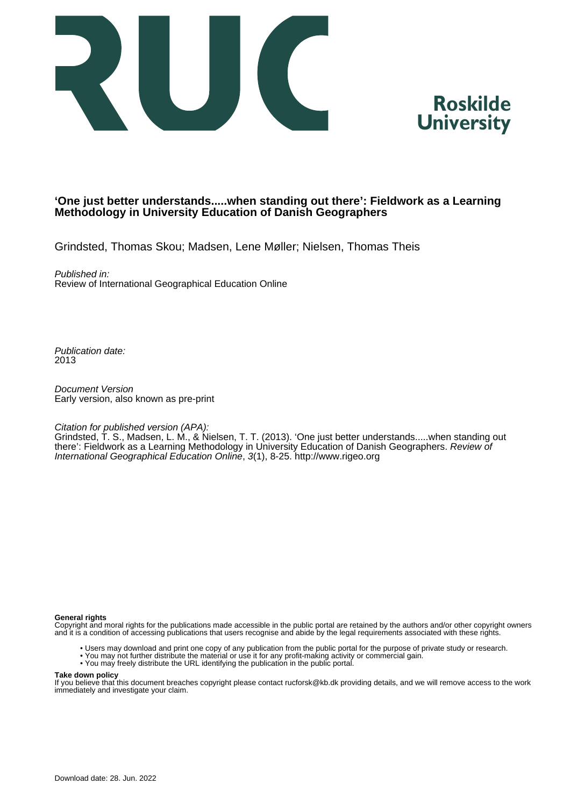



## **'One just better understands.....when standing out there': Fieldwork as a Learning Methodology in University Education of Danish Geographers**

Grindsted, Thomas Skou; Madsen, Lene Møller; Nielsen, Thomas Theis

Published in:

Review of International Geographical Education Online

Publication date: 2013

Document Version Early version, also known as pre-print

Citation for published version (APA):

Grindsted, T. S., Madsen, L. M., & Nielsen, T. T. (2013). 'One just better understands.....when standing out there': Fieldwork as a Learning Methodology in University Education of Danish Geographers. Review of International Geographical Education Online, 3(1), 8-25. <http://www.rigeo.org>

#### **General rights**

Copyright and moral rights for the publications made accessible in the public portal are retained by the authors and/or other copyright owners and it is a condition of accessing publications that users recognise and abide by the legal requirements associated with these rights.

- Users may download and print one copy of any publication from the public portal for the purpose of private study or research.
- You may not further distribute the material or use it for any profit-making activity or commercial gain.
- You may freely distribute the URL identifying the publication in the public portal.

#### **Take down policy**

If you believe that this document breaches copyright please contact rucforsk@kb.dk providing details, and we will remove access to the work immediately and investigate your claim.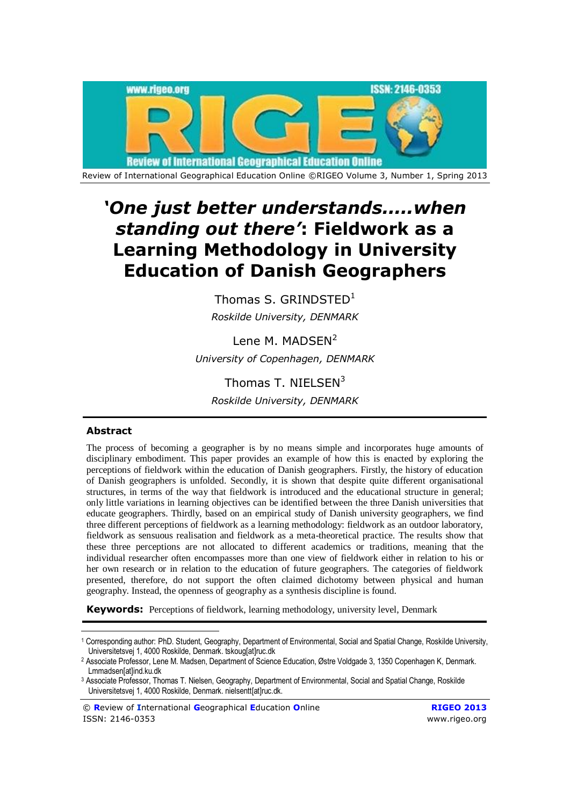

# *'One just better understands.....when standing out there'***: Fieldwork as a Learning Methodology in University Education of Danish Geographers**

Thomas S. GRINDSTED $1$ *Roskilde University, DENMARK*

Lene M. MADSEN<sup>2</sup> *University of Copenhagen, DENMARK*

Thomas T. NIELSEN<sup>3</sup> *Roskilde University, DENMARK*

### **Abstract**

 $\overline{a}$ 

The process of becoming a geographer is by no means simple and incorporates huge amounts of disciplinary embodiment. This paper provides an example of how this is enacted by exploring the perceptions of fieldwork within the education of Danish geographers. Firstly, the history of education of Danish geographers is unfolded. Secondly, it is shown that despite quite different organisational structures, in terms of the way that fieldwork is introduced and the educational structure in general; only little variations in learning objectives can be identified between the three Danish universities that educate geographers. Thirdly, based on an empirical study of Danish university geographers, we find three different perceptions of fieldwork as a learning methodology: fieldwork as an outdoor laboratory, fieldwork as sensuous realisation and fieldwork as a meta-theoretical practice. The results show that these three perceptions are not allocated to different academics or traditions, meaning that the individual researcher often encompasses more than one view of fieldwork either in relation to his or her own research or in relation to the education of future geographers. The categories of fieldwork presented, therefore, do not support the often claimed dichotomy between physical and human geography. Instead, the openness of geography as a synthesis discipline is found.

**Keywords:** Perceptions of fieldwork, learning methodology, university level, Denmark

<sup>1</sup> Corresponding author: PhD. Student, Geography, Department of Environmental, Social and Spatial Change, Roskilde University, Universitetsvej 1, 4000 Roskilde, Denmark. tskoug[at]ruc.dk

<sup>2</sup> Associate Professor, Lene M. Madsen, Department of Science Education, Østre Voldgade 3, 1350 Copenhagen K, Denmark. Lmmadsen[at]ind.ku.dk

<sup>3</sup> Associate Professor, Thomas T. Nielsen, Geography, Department of Environmental, Social and Spatial Change, Roskilde Universitetsvej 1, 4000 Roskilde, Denmark. nielsentt[at]ruc.dk.

<sup>©</sup> **R**eview of **I**nternational **G**eographical **E**ducation **O**nline **RIGEO 2013** ISSN: 2146-0353 www.rigeo.org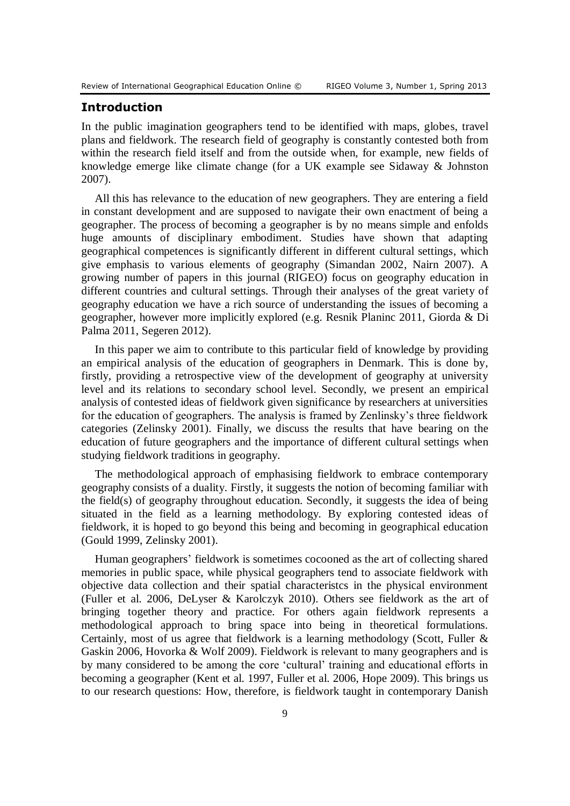# **Introduction**

In the public imagination geographers tend to be identified with maps, globes, travel plans and fieldwork. The research field of geography is constantly contested both from within the research field itself and from the outside when, for example, new fields of knowledge emerge like climate change (for a UK example see Sidaway & Johnston 2007).

All this has relevance to the education of new geographers. They are entering a field in constant development and are supposed to navigate their own enactment of being a geographer. The process of becoming a geographer is by no means simple and enfolds huge amounts of disciplinary embodiment. Studies have shown that adapting geographical competences is significantly different in different cultural settings, which give emphasis to various elements of geography (Simandan 2002, Nairn 2007). A growing number of papers in this journal (RIGEO) focus on geography education in different countries and cultural settings. Through their analyses of the great variety of geography education we have a rich source of understanding the issues of becoming a geographer, however more implicitly explored (e.g. Resnik Planinc 2011, Giorda & Di Palma 2011, Segeren 2012).

In this paper we aim to contribute to this particular field of knowledge by providing an empirical analysis of the education of geographers in Denmark. This is done by, firstly, providing a retrospective view of the development of geography at university level and its relations to secondary school level. Secondly, we present an empirical analysis of contested ideas of fieldwork given significance by researchers at universities for the education of geographers. The analysis is framed by Zenlinsky's three fieldwork categories (Zelinsky 2001). Finally, we discuss the results that have bearing on the education of future geographers and the importance of different cultural settings when studying fieldwork traditions in geography.

The methodological approach of emphasising fieldwork to embrace contemporary geography consists of a duality. Firstly, it suggests the notion of becoming familiar with the field(s) of geography throughout education. Secondly, it suggests the idea of being situated in the field as a learning methodology. By exploring contested ideas of fieldwork, it is hoped to go beyond this being and becoming in geographical education (Gould 1999, Zelinsky 2001).

Human geographers' fieldwork is sometimes cocooned as the art of collecting shared memories in public space, while physical geographers tend to associate fieldwork with objective data collection and their spatial characteristcs in the physical environment (Fuller et al. 2006, DeLyser & Karolczyk 2010). Others see fieldwork as the art of bringing together theory and practice. For others again fieldwork represents a methodological approach to bring space into being in theoretical formulations. Certainly, most of us agree that fieldwork is a learning methodology (Scott, Fuller & Gaskin 2006, Hovorka & Wolf 2009). Fieldwork is relevant to many geographers and is by many considered to be among the core 'cultural' training and educational efforts in becoming a geographer (Kent et al. 1997, Fuller et al. 2006, Hope 2009). This brings us to our research questions: How, therefore, is fieldwork taught in contemporary Danish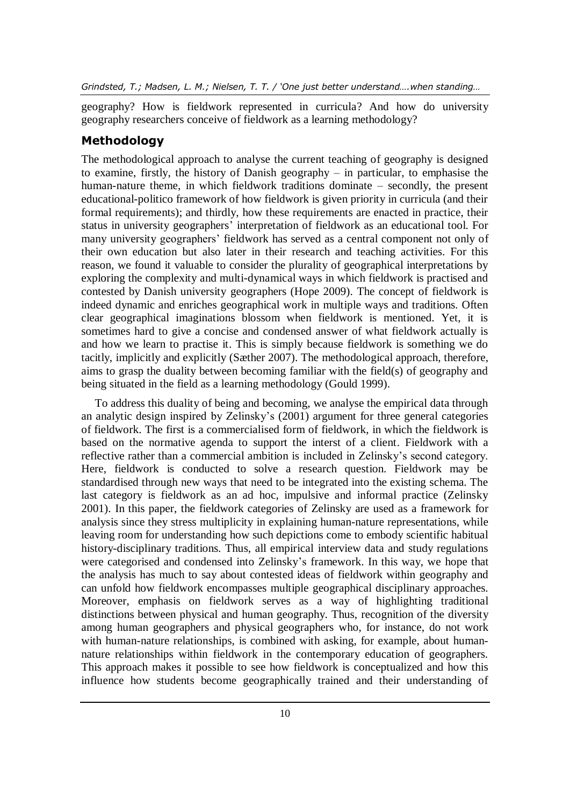geography? How is fieldwork represented in curricula? And how do university geography researchers conceive of fieldwork as a learning methodology?

# **Methodology**

The methodological approach to analyse the current teaching of geography is designed to examine, firstly, the history of Danish geography – in particular, to emphasise the human-nature theme, in which fieldwork traditions dominate – secondly, the present educational-politico framework of how fieldwork is given priority in curricula (and their formal requirements); and thirdly, how these requirements are enacted in practice, their status in university geographers' interpretation of fieldwork as an educational tool. For many university geographers' fieldwork has served as a central component not only of their own education but also later in their research and teaching activities. For this reason, we found it valuable to consider the plurality of geographical interpretations by exploring the complexity and multi-dynamical ways in which fieldwork is practised and contested by Danish university geographers (Hope 2009). The concept of fieldwork is indeed dynamic and enriches geographical work in multiple ways and traditions. Often clear geographical imaginations blossom when fieldwork is mentioned. Yet, it is sometimes hard to give a concise and condensed answer of what fieldwork actually is and how we learn to practise it. This is simply because fieldwork is something we do tacitly, implicitly and explicitly (Sæther 2007). The methodological approach, therefore, aims to grasp the duality between becoming familiar with the field(s) of geography and being situated in the field as a learning methodology (Gould 1999).

To address this duality of being and becoming, we analyse the empirical data through an analytic design inspired by Zelinsky's (2001) argument for three general categories of fieldwork. The first is a commercialised form of fieldwork, in which the fieldwork is based on the normative agenda to support the interst of a client. Fieldwork with a reflective rather than a commercial ambition is included in Zelinsky's second category. Here, fieldwork is conducted to solve a research question. Fieldwork may be standardised through new ways that need to be integrated into the existing schema. The last category is fieldwork as an ad hoc, impulsive and informal practice (Zelinsky 2001). In this paper, the fieldwork categories of Zelinsky are used as a framework for analysis since they stress multiplicity in explaining human-nature representations, while leaving room for understanding how such depictions come to embody scientific habitual history-disciplinary traditions. Thus, all empirical interview data and study regulations were categorised and condensed into Zelinsky's framework. In this way, we hope that the analysis has much to say about contested ideas of fieldwork within geography and can unfold how fieldwork encompasses multiple geographical disciplinary approaches. Moreover, emphasis on fieldwork serves as a way of highlighting traditional distinctions between physical and human geography. Thus, recognition of the diversity among human geographers and physical geographers who, for instance, do not work with human-nature relationships, is combined with asking, for example, about humannature relationships within fieldwork in the contemporary education of geographers. This approach makes it possible to see how fieldwork is conceptualized and how this influence how students become geographically trained and their understanding of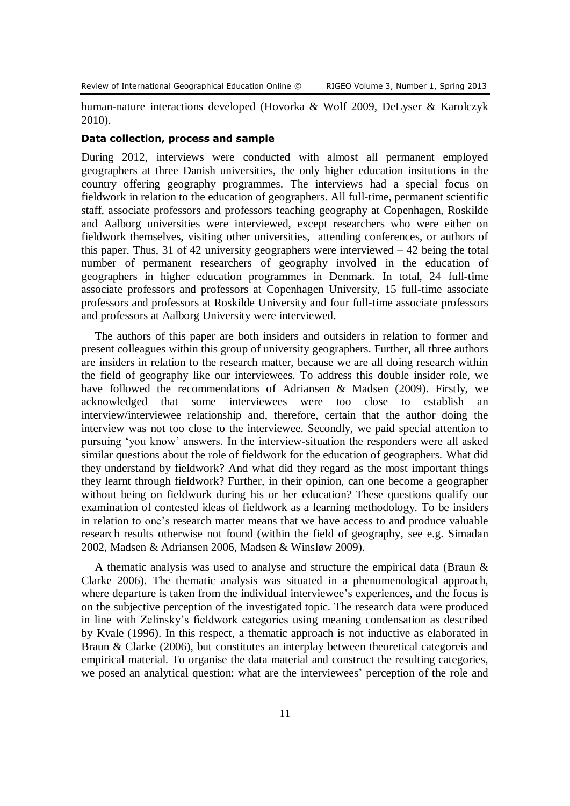human-nature interactions developed (Hovorka & Wolf 2009, DeLyser & Karolczyk 2010).

#### **Data collection, process and sample**

During 2012, interviews were conducted with almost all permanent employed geographers at three Danish universities, the only higher education insitutions in the country offering geography programmes. The interviews had a special focus on fieldwork in relation to the education of geographers. All full-time, permanent scientific staff, associate professors and professors teaching geography at Copenhagen, Roskilde and Aalborg universities were interviewed, except researchers who were either on fieldwork themselves, visiting other universities, attending conferences, or authors of this paper. Thus, 31 of 42 university geographers were interviewed  $-42$  being the total number of permanent researchers of geography involved in the education of geographers in higher education programmes in Denmark. In total, 24 full-time associate professors and professors at Copenhagen University, 15 full-time associate professors and professors at Roskilde University and four full-time associate professors and professors at Aalborg University were interviewed.

The authors of this paper are both insiders and outsiders in relation to former and present colleagues within this group of university geographers. Further, all three authors are insiders in relation to the research matter, because we are all doing research within the field of geography like our interviewees. To address this double insider role, we have followed the recommendations of Adriansen & Madsen (2009). Firstly, we acknowledged that some interviewees were too close to establish an interview/interviewee relationship and, therefore, certain that the author doing the interview was not too close to the interviewee. Secondly, we paid special attention to pursuing 'you know' answers. In the interview-situation the responders were all asked similar questions about the role of fieldwork for the education of geographers. What did they understand by fieldwork? And what did they regard as the most important things they learnt through fieldwork? Further, in their opinion, can one become a geographer without being on fieldwork during his or her education? These questions qualify our examination of contested ideas of fieldwork as a learning methodology. To be insiders in relation to one's research matter means that we have access to and produce valuable research results otherwise not found (within the field of geography, see e.g. Simadan 2002, Madsen & Adriansen 2006, Madsen & Winsløw 2009).

A thematic analysis was used to analyse and structure the empirical data (Braun & Clarke 2006). The thematic analysis was situated in a phenomenological approach, where departure is taken from the individual interviewee's experiences, and the focus is on the subjective perception of the investigated topic. The research data were produced in line with Zelinsky's fieldwork categories using meaning condensation as described by Kvale (1996). In this respect, a thematic approach is not inductive as elaborated in Braun & Clarke (2006), but constitutes an interplay between theoretical categoreis and empirical material. To organise the data material and construct the resulting categories, we posed an analytical question: what are the interviewees' perception of the role and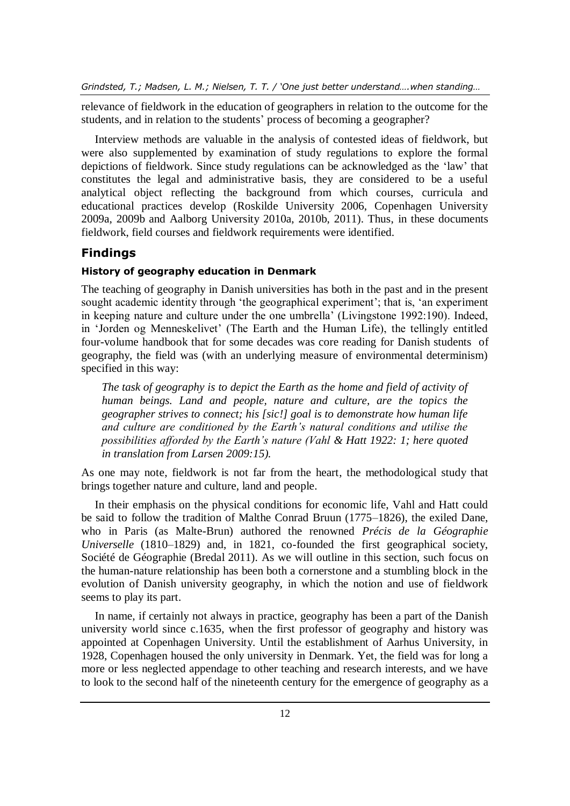relevance of fieldwork in the education of geographers in relation to the outcome for the students, and in relation to the students' process of becoming a geographer?

Interview methods are valuable in the analysis of contested ideas of fieldwork, but were also supplemented by examination of study regulations to explore the formal depictions of fieldwork. Since study regulations can be acknowledged as the 'law' that constitutes the legal and administrative basis, they are considered to be a useful analytical object reflecting the background from which courses, curricula and educational practices develop (Roskilde University 2006, Copenhagen University 2009a, 2009b and Aalborg University 2010a, 2010b, 2011). Thus, in these documents fieldwork, field courses and fieldwork requirements were identified.

# **Findings**

# **History of geography education in Denmark**

The teaching of geography in Danish universities has both in the past and in the present sought academic identity through 'the geographical experiment'; that is, 'an experiment in keeping nature and culture under the one umbrella' (Livingstone 1992:190). Indeed, in 'Jorden og Menneskelivet' (The Earth and the Human Life), the tellingly entitled four-volume handbook that for some decades was core reading for Danish students of geography, the field was (with an underlying measure of environmental determinism) specified in this way:

*The task of geography is to depict the Earth as the home and field of activity of human beings. Land and people, nature and culture, are the topics the geographer strives to connect; his [sic!] goal is to demonstrate how human life and culture are conditioned by the Earth's natural conditions and utilise the possibilities afforded by the Earth's nature (Vahl & Hatt 1922: 1; here quoted in translation from Larsen 2009:15).* 

As one may note, fieldwork is not far from the heart, the methodological study that brings together nature and culture, land and people.

In their emphasis on the physical conditions for economic life, Vahl and Hatt could be said to follow the tradition of Malthe Conrad Bruun (1775–1826), the exiled Dane, who in Paris (as Malte-Brun) authored the renowned *Précis de la Géographie Universelle* (1810–1829) and, in 1821, co-founded the first geographical society, Société de Géographie (Bredal 2011). As we will outline in this section, such focus on the human-nature relationship has been both a cornerstone and a stumbling block in the evolution of Danish university geography, in which the notion and use of fieldwork seems to play its part.

In name, if certainly not always in practice, geography has been a part of the Danish university world since c.1635, when the first professor of geography and history was appointed at Copenhagen University. Until the establishment of Aarhus University, in 1928, Copenhagen housed the only university in Denmark. Yet, the field was for long a more or less neglected appendage to other teaching and research interests, and we have to look to the second half of the nineteenth century for the emergence of geography as a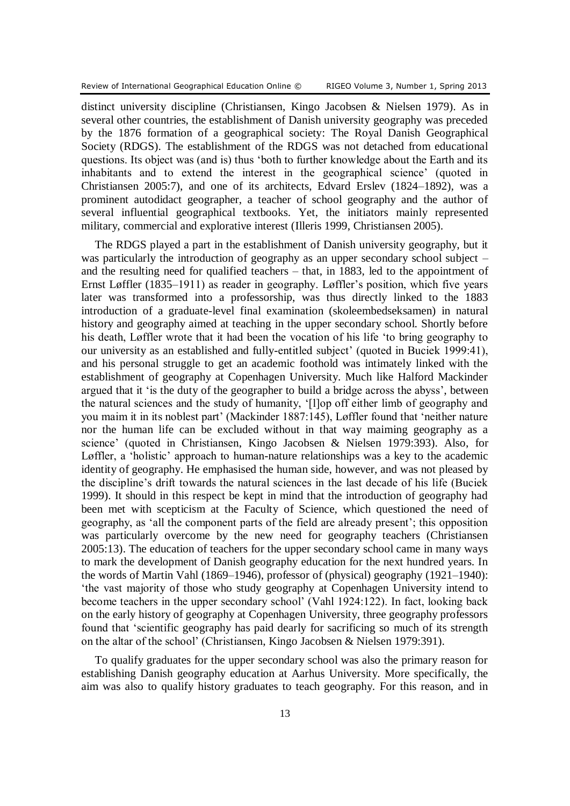distinct university discipline (Christiansen, Kingo Jacobsen & Nielsen 1979). As in several other countries, the establishment of Danish university geography was preceded by the 1876 formation of a geographical society: The Royal Danish Geographical Society (RDGS). The establishment of the RDGS was not detached from educational questions. Its object was (and is) thus 'both to further knowledge about the Earth and its inhabitants and to extend the interest in the geographical science' (quoted in Christiansen 2005:7), and one of its architects, Edvard Erslev (1824–1892), was a prominent autodidact geographer, a teacher of school geography and the author of several influential geographical textbooks. Yet, the initiators mainly represented military, commercial and explorative interest (Illeris 1999, Christiansen 2005).

The RDGS played a part in the establishment of Danish university geography, but it was particularly the introduction of geography as an upper secondary school subject – and the resulting need for qualified teachers – that, in 1883, led to the appointment of Ernst Løffler (1835–1911) as reader in geography. Løffler's position, which five years later was transformed into a professorship, was thus directly linked to the 1883 introduction of a graduate-level final examination (skoleembedseksamen) in natural history and geography aimed at teaching in the upper secondary school. Shortly before his death, Løffler wrote that it had been the vocation of his life 'to bring geography to our university as an established and fully-entitled subject' (quoted in Buciek 1999:41), and his personal struggle to get an academic foothold was intimately linked with the establishment of geography at Copenhagen University. Much like Halford Mackinder argued that it 'is the duty of the geographer to build a bridge across the abyss', between the natural sciences and the study of humanity, '[l]op off either limb of geography and you maim it in its noblest part' (Mackinder 1887:145), Løffler found that 'neither nature nor the human life can be excluded without in that way maiming geography as a science' (quoted in Christiansen, Kingo Jacobsen & Nielsen 1979:393). Also, for Løffler, a 'holistic' approach to human-nature relationships was a key to the academic identity of geography. He emphasised the human side, however, and was not pleased by the discipline's drift towards the natural sciences in the last decade of his life (Buciek 1999). It should in this respect be kept in mind that the introduction of geography had been met with scepticism at the Faculty of Science, which questioned the need of geography, as 'all the component parts of the field are already present'; this opposition was particularly overcome by the new need for geography teachers (Christiansen 2005:13). The education of teachers for the upper secondary school came in many ways to mark the development of Danish geography education for the next hundred years. In the words of Martin Vahl (1869–1946), professor of (physical) geography (1921–1940): 'the vast majority of those who study geography at Copenhagen University intend to become teachers in the upper secondary school' (Vahl 1924:122). In fact, looking back on the early history of geography at Copenhagen University, three geography professors found that 'scientific geography has paid dearly for sacrificing so much of its strength on the altar of the school' (Christiansen, Kingo Jacobsen & Nielsen 1979:391).

To qualify graduates for the upper secondary school was also the primary reason for establishing Danish geography education at Aarhus University. More specifically, the aim was also to qualify history graduates to teach geography. For this reason, and in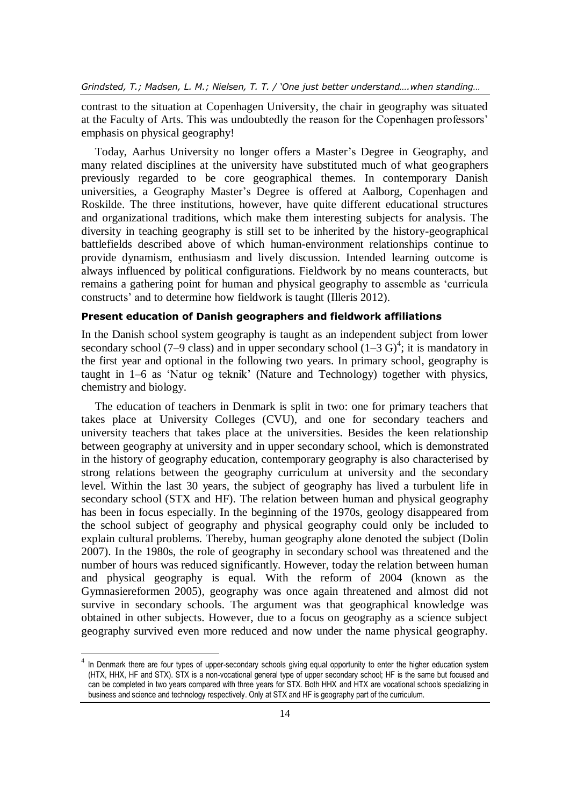contrast to the situation at Copenhagen University, the chair in geography was situated at the Faculty of Arts. This was undoubtedly the reason for the Copenhagen professors' emphasis on physical geography!

Today, Aarhus University no longer offers a Master's Degree in Geography, and many related disciplines at the university have substituted much of what geographers previously regarded to be core geographical themes. In contemporary Danish universities, a Geography Master's Degree is offered at Aalborg, Copenhagen and Roskilde. The three institutions, however, have quite different educational structures and organizational traditions, which make them interesting subjects for analysis. The diversity in teaching geography is still set to be inherited by the history-geographical battlefields described above of which human-environment relationships continue to provide dynamism, enthusiasm and lively discussion. Intended learning outcome is always influenced by political configurations. Fieldwork by no means counteracts, but remains a gathering point for human and physical geography to assemble as 'curricula constructs' and to determine how fieldwork is taught (Illeris 2012).

### **Present education of Danish geographers and fieldwork affiliations**

In the Danish school system geography is taught as an independent subject from lower secondary school (7–9 class) and in upper secondary school  $(1-3 \text{ G})^4$ ; it is mandatory in the first year and optional in the following two years. In primary school, geography is taught in 1–6 as 'Natur og teknik' (Nature and Technology) together with physics, chemistry and biology.

The education of teachers in Denmark is split in two: one for primary teachers that takes place at University Colleges (CVU), and one for secondary teachers and university teachers that takes place at the universities. Besides the keen relationship between geography at university and in upper secondary school, which is demonstrated in the history of geography education, contemporary geography is also characterised by strong relations between the geography curriculum at university and the secondary level. Within the last 30 years, the subject of geography has lived a turbulent life in secondary school (STX and HF). The relation between human and physical geography has been in focus especially. In the beginning of the 1970s, geology disappeared from the school subject of geography and physical geography could only be included to explain cultural problems. Thereby, human geography alone denoted the subject (Dolin 2007). In the 1980s, the role of geography in secondary school was threatened and the number of hours was reduced significantly. However, today the relation between human and physical geography is equal. With the reform of 2004 (known as the Gymnasiereformen 2005), geography was once again threatened and almost did not survive in secondary schools. The argument was that geographical knowledge was obtained in other subjects. However, due to a focus on geography as a science subject geography survived even more reduced and now under the name physical geography.

 $\overline{a}$ 

 $4$  In Denmark there are four types of upper-secondary schools giving equal opportunity to enter the higher education system (HTX, HHX, HF and STX). STX is a non-vocational general type of upper secondary school; HF is the same but focused and can be completed in two years compared with three years for STX. Both HHX and HTX are vocational schools specializing in business and science and technology respectively. Only at STX and HF is geography part of the curriculum.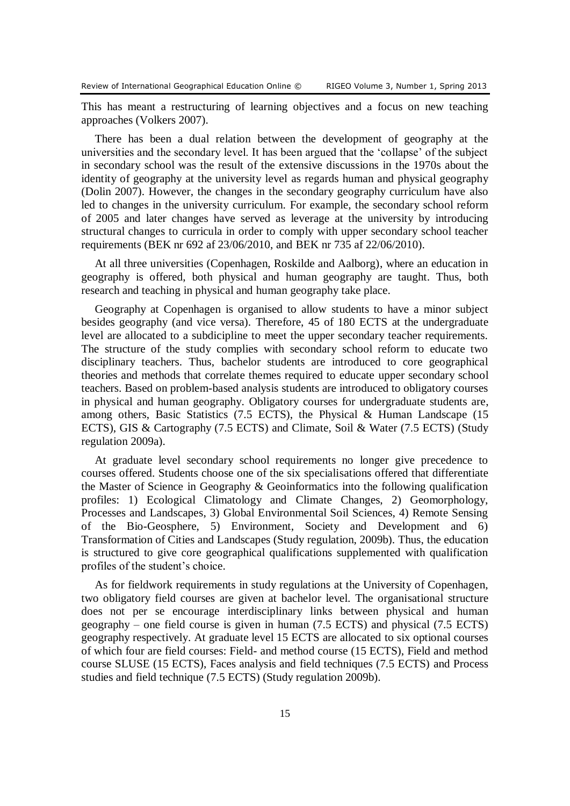This has meant a restructuring of learning objectives and a focus on new teaching approaches (Volkers 2007).

There has been a dual relation between the development of geography at the universities and the secondary level. It has been argued that the 'collapse' of the subject in secondary school was the result of the extensive discussions in the 1970s about the identity of geography at the university level as regards human and physical geography (Dolin 2007). However, the changes in the secondary geography curriculum have also led to changes in the university curriculum. For example, the secondary school reform of 2005 and later changes have served as leverage at the university by introducing structural changes to curricula in order to comply with upper secondary school teacher requirements (BEK nr 692 af 23/06/2010, and BEK nr 735 af 22/06/2010).

At all three universities (Copenhagen, Roskilde and Aalborg), where an education in geography is offered, both physical and human geography are taught. Thus, both research and teaching in physical and human geography take place.

Geography at Copenhagen is organised to allow students to have a minor subject besides geography (and vice versa). Therefore, 45 of 180 ECTS at the undergraduate level are allocated to a subdicipline to meet the upper secondary teacher requirements. The structure of the study complies with secondary school reform to educate two disciplinary teachers. Thus, bachelor students are introduced to core geographical theories and methods that correlate themes required to educate upper secondary school teachers. Based on problem-based analysis students are introduced to obligatory courses in physical and human geography. Obligatory courses for undergraduate students are, among others, Basic Statistics (7.5 ECTS), the Physical & Human Landscape (15 ECTS), GIS & Cartography (7.5 ECTS) and Climate, Soil & Water (7.5 ECTS) (Study regulation 2009a).

At graduate level secondary school requirements no longer give precedence to courses offered. Students choose one of the six specialisations offered that differentiate the Master of Science in Geography & Geoinformatics into the following qualification profiles: 1) Ecological Climatology and Climate Changes, 2) Geomorphology, Processes and Landscapes, 3) Global Environmental Soil Sciences, 4) Remote Sensing of the Bio-Geosphere, 5) Environment, Society and Development and 6) Transformation of Cities and Landscapes (Study regulation, 2009b). Thus, the education is structured to give core geographical qualifications supplemented with qualification profiles of the student's choice.

As for fieldwork requirements in study regulations at the University of Copenhagen, two obligatory field courses are given at bachelor level. The organisational structure does not per se encourage interdisciplinary links between physical and human geography – one field course is given in human (7.5 ECTS) and physical (7.5 ECTS) geography respectively. At graduate level 15 ECTS are allocated to six optional courses of which four are field courses: Field- and method course (15 ECTS), Field and method course SLUSE (15 ECTS), Faces analysis and field techniques (7.5 ECTS) and Process studies and field technique (7.5 ECTS) (Study regulation 2009b).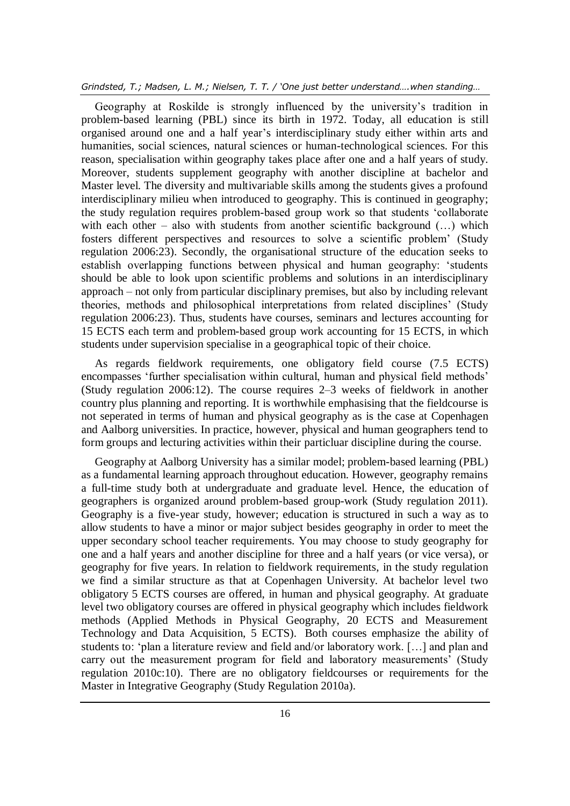Geography at Roskilde is strongly influenced by the university's tradition in problem-based learning (PBL) since its birth in 1972. Today, all education is still organised around one and a half year's interdisciplinary study either within arts and humanities, social sciences, natural sciences or human-technological sciences. For this reason, specialisation within geography takes place after one and a half years of study. Moreover, students supplement geography with another discipline at bachelor and Master level. The diversity and multivariable skills among the students gives a profound interdisciplinary milieu when introduced to geography. This is continued in geography; the study regulation requires problem-based group work so that students 'collaborate with each other – also with students from another scientific background  $($ ...) which fosters different perspectives and resources to solve a scientific problem' (Study regulation 2006:23). Secondly, the organisational structure of the education seeks to establish overlapping functions between physical and human geography: 'students should be able to look upon scientific problems and solutions in an interdisciplinary approach – not only from particular disciplinary premises, but also by including relevant theories, methods and philosophical interpretations from related disciplines' (Study regulation 2006:23). Thus, students have courses, seminars and lectures accounting for 15 ECTS each term and problem-based group work accounting for 15 ECTS, in which students under supervision specialise in a geographical topic of their choice.

As regards fieldwork requirements, one obligatory field course (7.5 ECTS) encompasses 'further specialisation within cultural, human and physical field methods' (Study regulation 2006:12). The course requires 2–3 weeks of fieldwork in another country plus planning and reporting. It is worthwhile emphasising that the fieldcourse is not seperated in terms of human and physical geography as is the case at Copenhagen and Aalborg universities. In practice, however, physical and human geographers tend to form groups and lecturing activities within their particluar discipline during the course.

Geography at Aalborg University has a similar model; problem-based learning (PBL) as a fundamental learning approach throughout education. However, geography remains a full-time study both at undergraduate and graduate level. Hence, the education of geographers is organized around problem-based group-work (Study regulation 2011). Geography is a five-year study, however; education is structured in such a way as to allow students to have a minor or major subject besides geography in order to meet the upper secondary school teacher requirements. You may choose to study geography for one and a half years and another discipline for three and a half years (or vice versa), or geography for five years. In relation to fieldwork requirements, in the study regulation we find a similar structure as that at Copenhagen University. At bachelor level two obligatory 5 ECTS courses are offered, in human and physical geography. At graduate level two obligatory courses are offered in physical geography which includes fieldwork methods (Applied Methods in Physical Geography, 20 ECTS and Measurement Technology and Data Acquisition, 5 ECTS). Both courses emphasize the ability of students to: 'plan a literature review and field and/or laboratory work. […] and plan and carry out the measurement program for field and laboratory measurements' (Study regulation 2010c:10). There are no obligatory fieldcourses or requirements for the Master in Integrative Geography (Study Regulation 2010a).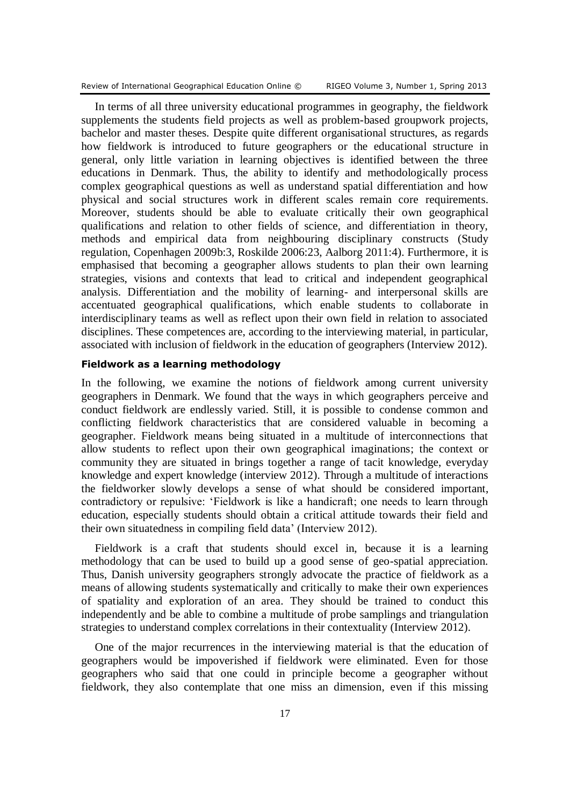Review of International Geographical Education Online © RIGEO Volume 3, Number 1, Spring 2013

In terms of all three university educational programmes in geography, the fieldwork supplements the students field projects as well as problem-based groupwork projects, bachelor and master theses. Despite quite different organisational structures, as regards how fieldwork is introduced to future geographers or the educational structure in general, only little variation in learning objectives is identified between the three educations in Denmark. Thus, the ability to identify and methodologically process complex geographical questions as well as understand spatial differentiation and how physical and social structures work in different scales remain core requirements. Moreover, students should be able to evaluate critically their own geographical qualifications and relation to other fields of science, and differentiation in theory, methods and empirical data from neighbouring disciplinary constructs (Study regulation, Copenhagen 2009b:3, Roskilde 2006:23, Aalborg 2011:4). Furthermore, it is emphasised that becoming a geographer allows students to plan their own learning strategies, visions and contexts that lead to critical and independent geographical analysis. Differentiation and the mobility of learning- and interpersonal skills are accentuated geographical qualifications, which enable students to collaborate in interdisciplinary teams as well as reflect upon their own field in relation to associated disciplines. These competences are, according to the interviewing material, in particular, associated with inclusion of fieldwork in the education of geographers (Interview 2012).

#### **Fieldwork as a learning methodology**

In the following, we examine the notions of fieldwork among current university geographers in Denmark. We found that the ways in which geographers perceive and conduct fieldwork are endlessly varied. Still, it is possible to condense common and conflicting fieldwork characteristics that are considered valuable in becoming a geographer. Fieldwork means being situated in a multitude of interconnections that allow students to reflect upon their own geographical imaginations; the context or community they are situated in brings together a range of tacit knowledge, everyday knowledge and expert knowledge (interview 2012). Through a multitude of interactions the fieldworker slowly develops a sense of what should be considered important, contradictory or repulsive: 'Fieldwork is like a handicraft; one needs to learn through education, especially students should obtain a critical attitude towards their field and their own situatedness in compiling field data' (Interview 2012).

Fieldwork is a craft that students should excel in, because it is a learning methodology that can be used to build up a good sense of geo-spatial appreciation. Thus, Danish university geographers strongly advocate the practice of fieldwork as a means of allowing students systematically and critically to make their own experiences of spatiality and exploration of an area. They should be trained to conduct this independently and be able to combine a multitude of probe samplings and triangulation strategies to understand complex correlations in their contextuality (Interview 2012).

One of the major recurrences in the interviewing material is that the education of geographers would be impoverished if fieldwork were eliminated. Even for those geographers who said that one could in principle become a geographer without fieldwork, they also contemplate that one miss an dimension, even if this missing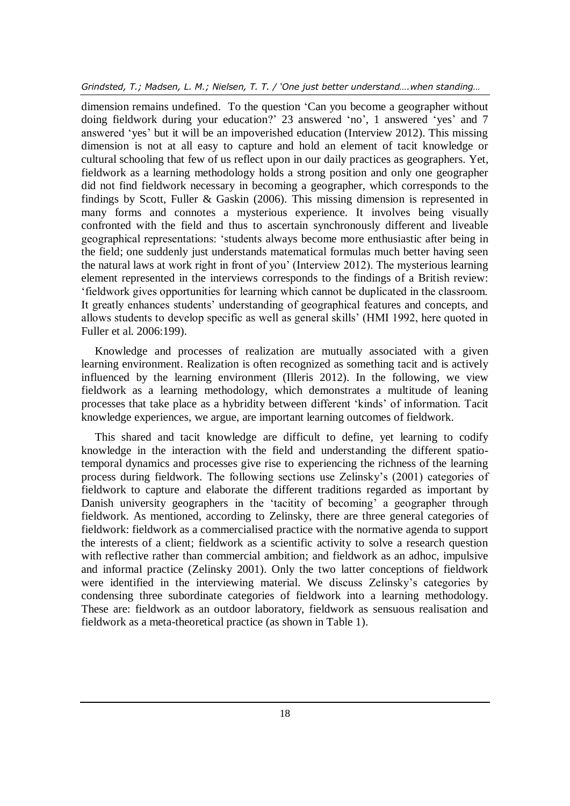dimension remains undefined. To the question 'Can you become a geographer without doing fieldwork during your education?' 23 answered 'no', 1 answered 'yes' and 7 answered 'yes' but it will be an impoverished education (Interview 2012). This missing dimension is not at all easy to capture and hold an element of tacit knowledge or cultural schooling that few of us reflect upon in our daily practices as geographers. Yet, fieldwork as a learning methodology holds a strong position and only one geographer did not find fieldwork necessary in becoming a geographer, which corresponds to the findings by Scott, Fuller & Gaskin (2006). This missing dimension is represented in many forms and connotes a mysterious experience. It involves being visually confronted with the field and thus to ascertain synchronously different and liveable geographical representations: 'students always become more enthusiastic after being in the field; one suddenly just understands matematical formulas much better having seen the natural laws at work right in front of you' (Interview 2012). The mysterious learning element represented in the interviews corresponds to the findings of a British review: 'fieldwork gives opportunities for learning which cannot be duplicated in the classroom. It greatly enhances students' understanding of geographical features and concepts, and allows students to develop specific as well as general skills' (HMI 1992, here quoted in Fuller et al. 2006:199).

Knowledge and processes of realization are mutually associated with a given learning environment. Realization is often recognized as something tacit and is actively influenced by the learning environment (Illeris 2012). In the following, we view fieldwork as a learning methodology, which demonstrates a multitude of leaning processes that take place as a hybridity between different 'kinds' of information. Tacit knowledge experiences, we argue, are important learning outcomes of fieldwork.

This shared and tacit knowledge are difficult to define, yet learning to codify knowledge in the interaction with the field and understanding the different spatiotemporal dynamics and processes give rise to experiencing the richness of the learning process during fieldwork. The following sections use Zelinsky's (2001) categories of fieldwork to capture and elaborate the different traditions regarded as important by Danish university geographers in the 'tacitity of becoming' a geographer through fieldwork. As mentioned, according to Zelinsky, there are three general categories of fieldwork: fieldwork as a commercialised practice with the normative agenda to support the interests of a client; fieldwork as a scientific activity to solve a research question with reflective rather than commercial ambition; and fieldwork as an adhoc, impulsive and informal practice (Zelinsky 2001). Only the two latter conceptions of fieldwork were identified in the interviewing material. We discuss Zelinsky's categories by condensing three subordinate categories of fieldwork into a learning methodology. These are: fieldwork as an outdoor laboratory, fieldwork as sensuous realisation and fieldwork as a meta-theoretical practice (as shown in Table 1).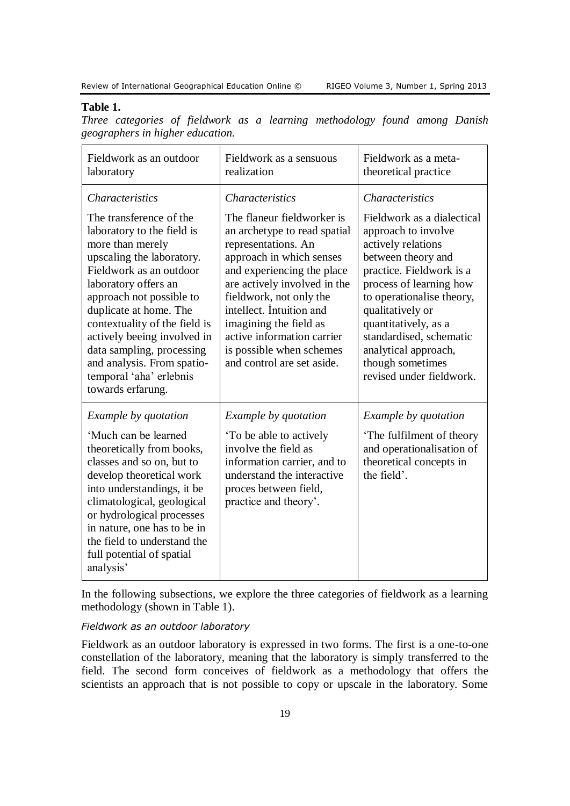#### **Table 1.**

*Three categories of fieldwork as a learning methodology found among Danish geographers in higher education.*

| Fieldwork as an outdoor<br>laboratory                                                                                                                                                                                                                                                                                                                                                                                | Fieldwork as a sensuous<br>realization                                                                                                                                                                                                                                                                                                                                         | Fieldwork as a meta-<br>theoretical practice                                                                                                                                                                                                                                                                                                               |
|----------------------------------------------------------------------------------------------------------------------------------------------------------------------------------------------------------------------------------------------------------------------------------------------------------------------------------------------------------------------------------------------------------------------|--------------------------------------------------------------------------------------------------------------------------------------------------------------------------------------------------------------------------------------------------------------------------------------------------------------------------------------------------------------------------------|------------------------------------------------------------------------------------------------------------------------------------------------------------------------------------------------------------------------------------------------------------------------------------------------------------------------------------------------------------|
| <b>Characteristics</b><br>The transference of the<br>laboratory to the field is<br>more than merely<br>upscaling the laboratory.<br>Fieldwork as an outdoor<br>laboratory offers an<br>approach not possible to<br>duplicate at home. The<br>contextuality of the field is<br>actively beeing involved in<br>data sampling, processing<br>and analysis. From spatio-<br>temporal 'aha' erlebnis<br>towards erfarung. | <i>Characteristics</i><br>The flaneur fieldworker is<br>an archetype to read spatial<br>representations. An<br>approach in which senses<br>and experiencing the place<br>are actively involved in the<br>fieldwork, not only the<br>intellect. Intuition and<br>imagining the field as<br>active information carrier<br>is possible when schemes<br>and control are set aside. | <b>Characteristics</b><br>Fieldwork as a dialectical<br>approach to involve<br>actively relations<br>between theory and<br>practice. Fieldwork is a<br>process of learning how<br>to operationalise theory,<br>qualitatively or<br>quantitatively, as a<br>standardised, schematic<br>analytical approach,<br>though sometimes<br>revised under fieldwork. |
| Example by quotation<br>'Much can be learned<br>theoretically from books,<br>classes and so on, but to<br>develop theoretical work<br>into understandings, it be<br>climatological, geological<br>or hydrological processes<br>in nature, one has to be in<br>the field to understand the<br>full potential of spatial<br>analysis'                                                                                  | Example by quotation<br>To be able to actively<br>involve the field as<br>information carrier, and to<br>understand the interactive<br>proces between field,<br>practice and theory'.                                                                                                                                                                                          | Example by quotation<br>The fulfilment of theory<br>and operationalisation of<br>theoretical concepts in<br>the field'.                                                                                                                                                                                                                                    |

In the following subsections, we explore the three categories of fieldwork as a learning methodology (shown in Table 1).

#### *Fieldwork as an outdoor laboratory*

Fieldwork as an outdoor laboratory is expressed in two forms. The first is a one-to-one constellation of the laboratory, meaning that the laboratory is simply transferred to the field. The second form conceives of fieldwork as a methodology that offers the scientists an approach that is not possible to copy or upscale in the laboratory. Some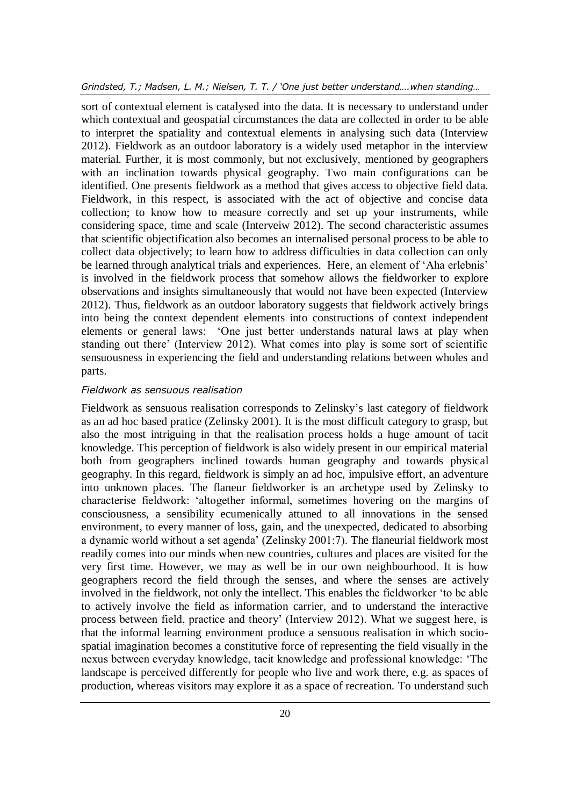sort of contextual element is catalysed into the data. It is necessary to understand under which contextual and geospatial circumstances the data are collected in order to be able to interpret the spatiality and contextual elements in analysing such data (Interview 2012). Fieldwork as an outdoor laboratory is a widely used metaphor in the interview material. Further, it is most commonly, but not exclusively, mentioned by geographers with an inclination towards physical geography. Two main configurations can be identified. One presents fieldwork as a method that gives access to objective field data. Fieldwork, in this respect, is associated with the act of objective and concise data collection; to know how to measure correctly and set up your instruments, while considering space, time and scale (Interveiw 2012). The second characteristic assumes that scientific objectification also becomes an internalised personal process to be able to collect data objectively; to learn how to address difficulties in data collection can only be learned through analytical trials and experiences. Here, an element of 'Aha erlebnis' is involved in the fieldwork process that somehow allows the fieldworker to explore observations and insights simultaneously that would not have been expected (Interview 2012). Thus, fieldwork as an outdoor laboratory suggests that fieldwork actively brings into being the context dependent elements into constructions of context independent elements or general laws: 'One just better understands natural laws at play when standing out there' (Interview 2012). What comes into play is some sort of scientific sensuousness in experiencing the field and understanding relations between wholes and parts.

#### *Fieldwork as sensuous realisation*

Fieldwork as sensuous realisation corresponds to Zelinsky's last category of fieldwork as an ad hoc based pratice (Zelinsky 2001). It is the most difficult category to grasp, but also the most intriguing in that the realisation process holds a huge amount of tacit knowledge. This perception of fieldwork is also widely present in our empirical material both from geographers inclined towards human geography and towards physical geography. In this regard, fieldwork is simply an ad hoc, impulsive effort, an adventure into unknown places. The flaneur fieldworker is an archetype used by Zelinsky to characterise fieldwork: 'altogether informal, sometimes hovering on the margins of consciousness, a sensibility ecumenically attuned to all innovations in the sensed environment, to every manner of loss, gain, and the unexpected, dedicated to absorbing a dynamic world without a set agenda' (Zelinsky 2001:7). The flaneurial fieldwork most readily comes into our minds when new countries, cultures and places are visited for the very first time. However, we may as well be in our own neighbourhood. It is how geographers record the field through the senses, and where the senses are actively involved in the fieldwork, not only the intellect. This enables the fieldworker 'to be able to actively involve the field as information carrier, and to understand the interactive process between field, practice and theory' (Interview 2012). What we suggest here, is that the informal learning environment produce a sensuous realisation in which sociospatial imagination becomes a constitutive force of representing the field visually in the nexus between everyday knowledge, tacit knowledge and professional knowledge: 'The landscape is perceived differently for people who live and work there, e.g. as spaces of production, whereas visitors may explore it as a space of recreation. To understand such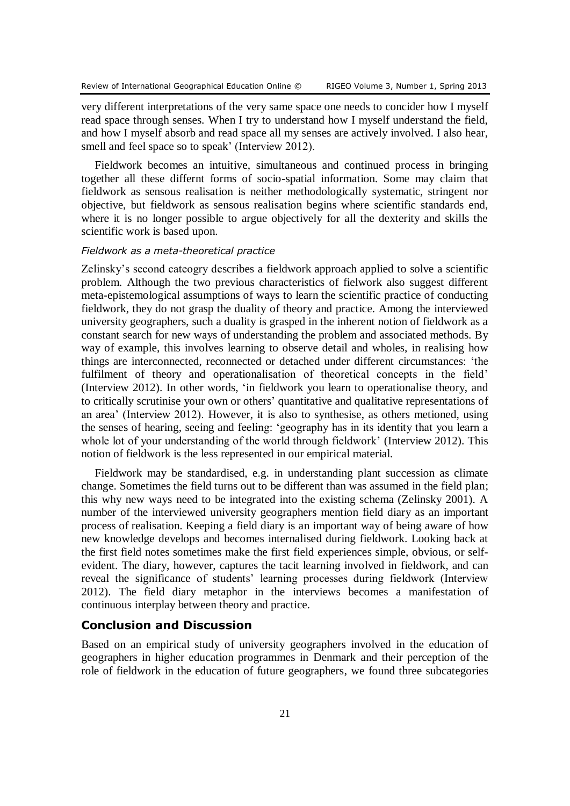very different interpretations of the very same space one needs to concider how I myself read space through senses. When I try to understand how I myself understand the field, and how I myself absorb and read space all my senses are actively involved. I also hear, smell and feel space so to speak' (Interview 2012).

Fieldwork becomes an intuitive, simultaneous and continued process in bringing together all these differnt forms of socio-spatial information. Some may claim that fieldwork as sensous realisation is neither methodologically systematic, stringent nor objective, but fieldwork as sensous realisation begins where scientific standards end, where it is no longer possible to argue objectively for all the dexterity and skills the scientific work is based upon.

#### *Fieldwork as a meta-theoretical practice*

Zelinsky's second cateogry describes a fieldwork approach applied to solve a scientific problem. Although the two previous characteristics of fielwork also suggest different meta-epistemological assumptions of ways to learn the scientific practice of conducting fieldwork, they do not grasp the duality of theory and practice. Among the interviewed university geographers, such a duality is grasped in the inherent notion of fieldwork as a constant search for new ways of understanding the problem and associated methods. By way of example, this involves learning to observe detail and wholes, in realising how things are interconnected, reconnected or detached under different circumstances: 'the fulfilment of theory and operationalisation of theoretical concepts in the field' (Interview 2012). In other words, 'in fieldwork you learn to operationalise theory, and to critically scrutinise your own or others' quantitative and qualitative representations of an area' (Interview 2012). However, it is also to synthesise, as others metioned, using the senses of hearing, seeing and feeling: 'geography has in its identity that you learn a whole lot of your understanding of the world through fieldwork' (Interview 2012). This notion of fieldwork is the less represented in our empirical material.

Fieldwork may be standardised, e.g. in understanding plant succession as climate change. Sometimes the field turns out to be different than was assumed in the field plan; this why new ways need to be integrated into the existing schema (Zelinsky 2001). A number of the interviewed university geographers mention field diary as an important process of realisation. Keeping a field diary is an important way of being aware of how new knowledge develops and becomes internalised during fieldwork. Looking back at the first field notes sometimes make the first field experiences simple, obvious, or selfevident. The diary, however, captures the tacit learning involved in fieldwork, and can reveal the significance of students' learning processes during fieldwork (Interview 2012). The field diary metaphor in the interviews becomes a manifestation of continuous interplay between theory and practice.

# **Conclusion and Discussion**

Based on an empirical study of university geographers involved in the education of geographers in higher education programmes in Denmark and their perception of the role of fieldwork in the education of future geographers, we found three subcategories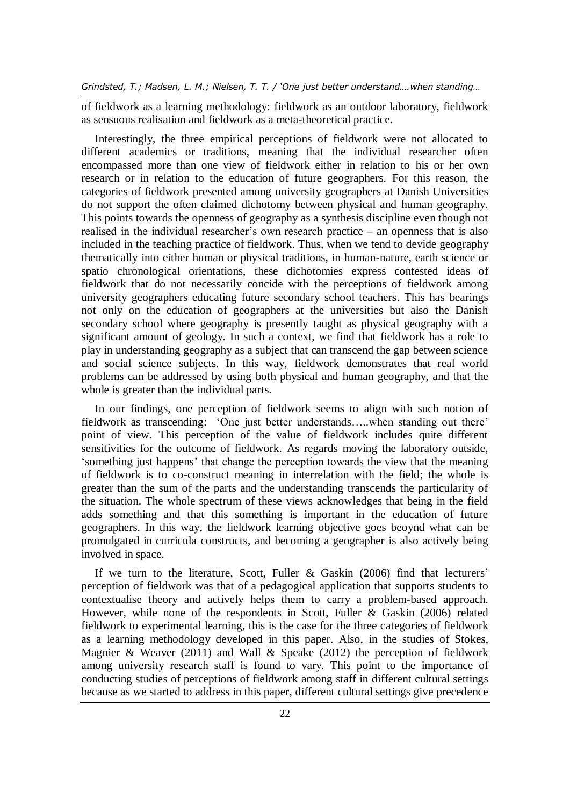of fieldwork as a learning methodology: fieldwork as an outdoor laboratory, fieldwork as sensuous realisation and fieldwork as a meta-theoretical practice.

Interestingly, the three empirical perceptions of fieldwork were not allocated to different academics or traditions, meaning that the individual researcher often encompassed more than one view of fieldwork either in relation to his or her own research or in relation to the education of future geographers. For this reason, the categories of fieldwork presented among university geographers at Danish Universities do not support the often claimed dichotomy between physical and human geography. This points towards the openness of geography as a synthesis discipline even though not realised in the individual researcher's own research practice – an openness that is also included in the teaching practice of fieldwork. Thus, when we tend to devide geography thematically into either human or physical traditions, in human-nature, earth science or spatio chronological orientations, these dichotomies express contested ideas of fieldwork that do not necessarily concide with the perceptions of fieldwork among university geographers educating future secondary school teachers. This has bearings not only on the education of geographers at the universities but also the Danish secondary school where geography is presently taught as physical geography with a significant amount of geology. In such a context, we find that fieldwork has a role to play in understanding geography as a subject that can transcend the gap between science and social science subjects. In this way, fieldwork demonstrates that real world problems can be addressed by using both physical and human geography, and that the whole is greater than the individual parts.

In our findings, one perception of fieldwork seems to align with such notion of fieldwork as transcending: 'One just better understands…..when standing out there' point of view. This perception of the value of fieldwork includes quite different sensitivities for the outcome of fieldwork. As regards moving the laboratory outside, 'something just happens' that change the perception towards the view that the meaning of fieldwork is to co-construct meaning in interrelation with the field; the whole is greater than the sum of the parts and the understanding transcends the particularity of the situation. The whole spectrum of these views acknowledges that being in the field adds something and that this something is important in the education of future geographers. In this way, the fieldwork learning objective goes beoynd what can be promulgated in curricula constructs, and becoming a geographer is also actively being involved in space.

If we turn to the literature, Scott, Fuller & Gaskin (2006) find that lecturers' perception of fieldwork was that of a pedagogical application that supports students to contextualise theory and actively helps them to carry a problem-based approach. However, while none of the respondents in Scott, Fuller & Gaskin (2006) related fieldwork to experimental learning, this is the case for the three categories of fieldwork as a learning methodology developed in this paper. Also, in the studies of Stokes, Magnier & Weaver  $(2011)$  and Wall & Speake  $(2012)$  the perception of fieldwork among university research staff is found to vary. This point to the importance of conducting studies of perceptions of fieldwork among staff in different cultural settings because as we started to address in this paper, different cultural settings give precedence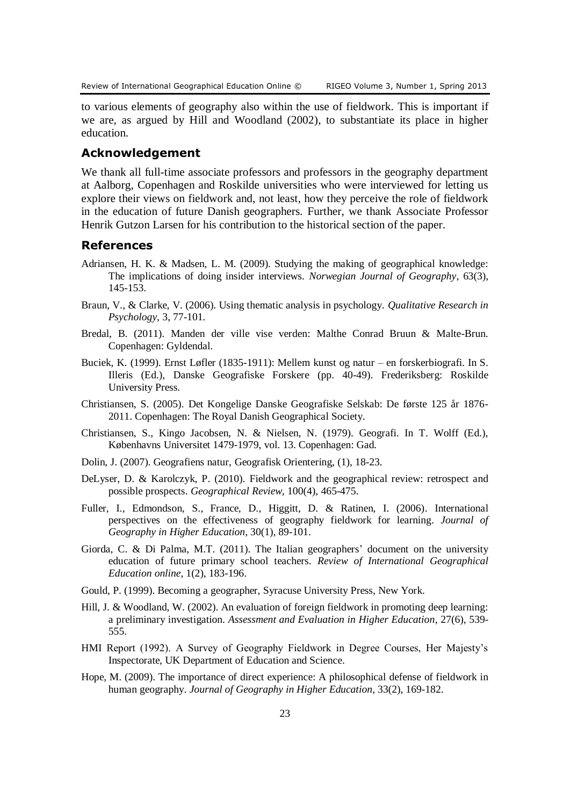to various elements of geography also within the use of fieldwork. This is important if we are, as argued by Hill and Woodland (2002), to substantiate its place in higher education.

# **Acknowledgement**

We thank all full-time associate professors and professors in the geography department at Aalborg, Copenhagen and Roskilde universities who were interviewed for letting us explore their views on fieldwork and, not least, how they perceive the role of fieldwork in the education of future Danish geographers. Further, we thank Associate Professor Henrik Gutzon Larsen for his contribution to the historical section of the paper.

# **References**

- Adriansen, H. K. & Madsen, L. M. (2009). Studying the making of geographical knowledge: The implications of doing insider interviews. *Norwegian Journal of Geography*, 63(3), 145-153.
- Braun, V., & Clarke, V. (2006). Using thematic analysis in psychology. *Qualitative Research in Psychology*, 3, 77-101.
- Bredal, B. (2011). Manden der ville vise verden: Malthe Conrad Bruun & Malte-Brun. Copenhagen: Gyldendal.
- Buciek, K. (1999). Ernst Løfler (1835-1911): Mellem kunst og natur en forskerbiografi. In S. Illeris (Ed.), Danske Geografiske Forskere (pp. 40-49). Frederiksberg: Roskilde University Press.
- Christiansen, S. (2005). Det Kongelige Danske Geografiske Selskab: De første 125 år 1876- 2011. Copenhagen: The Royal Danish Geographical Society.
- Christiansen, S., Kingo Jacobsen, N. & Nielsen, N. (1979). Geografi. In T. Wolff (Ed.), Københavns Universitet 1479-1979, vol. 13. Copenhagen: Gad.
- Dolin, J. (2007). Geografiens natur, Geografisk Orientering, (1), 18-23.
- DeLyser, D. & Karolczyk, P. (2010). Fieldwork and the geographical review: retrospect and possible prospects. *Geographical Review*, 100(4), 465-475.
- Fuller, I., Edmondson, S., France, D., Higgitt, D. & Ratinen, I. (2006). International perspectives on the effectiveness of geography fieldwork for learning. *Journal of Geography in Higher Education*, 30(1), 89-101.
- Giorda, C. & Di Palma, M.T. (2011). The Italian geographers' document on the university education of future primary school teachers. *Review of International Geographical Education online*, 1(2), 183-196.
- Gould, P. (1999). Becoming a geographer, Syracuse University Press, New York.
- Hill, J. & Woodland, W. (2002). An evaluation of foreign fieldwork in promoting deep learning: a preliminary investigation. *Assessment and Evaluation in Higher Education*, 27(6), 539- 555.
- HMI Report (1992). A Survey of Geography Fieldwork in Degree Courses, Her Majesty's Inspectorate, UK Department of Education and Science.
- Hope, M. (2009). The importance of direct experience: A philosophical defense of fieldwork in human geography. *Journal of Geography in Higher Education*, 33(2), 169-182.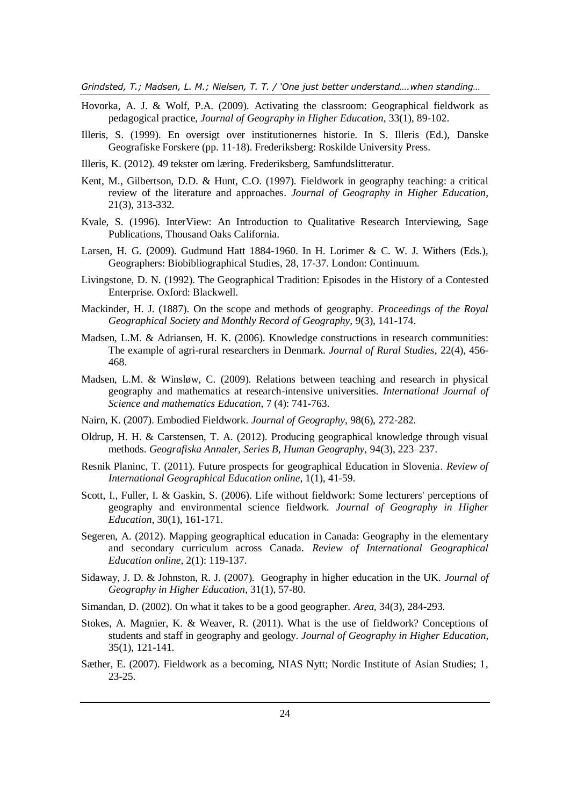- Hovorka, A. J. & Wolf, P.A. (2009). Activating the classroom: Geographical fieldwork as pedagogical practice, *Journal of Geography in Higher Education*, 33(1), 89-102.
- Illeris, S. (1999). En oversigt over institutionernes historie. In S. Illeris (Ed.), Danske Geografiske Forskere (pp. 11-18). Frederiksberg: Roskilde University Press.
- Illeris, K. (2012). 49 tekster om læring. Frederiksberg, Samfundslitteratur.
- Kent, M., Gilbertson, D.D. & Hunt, C.O. (1997). Fieldwork in geography teaching: a critical review of the literature and approaches. *Journal of Geography in Higher Education*, 21(3), 313-332.
- Kvale, S. (1996). InterView: An Introduction to Qualitative Research Interviewing, Sage Publications, Thousand Oaks California.
- Larsen, H. G. (2009). Gudmund Hatt 1884-1960. In H. Lorimer & C. W. J. Withers (Eds.), Geographers: Biobibliographical Studies, 28, 17-37. London: Continuum.
- Livingstone, D. N. (1992). The Geographical Tradition: Episodes in the History of a Contested Enterprise. Oxford: Blackwell.
- Mackinder, H. J. (1887). On the scope and methods of geography. *Proceedings of the Royal Geographical Society and Monthly Record of Geography*, 9(3), 141-174.
- Madsen, L.M. & Adriansen, H. K. (2006). Knowledge constructions in research communities: The example of agri-rural researchers in Denmark. *Journal of Rural Studies*, 22(4), 456- 468.
- Madsen, L.M. & Winsløw, C. (2009). Relations between teaching and research in physical geography and mathematics at research-intensive universities. *International Journal of Science and mathematics Education*, 7 (4): 741-763.
- Nairn, K. (2007). Embodied Fieldwork. *Journal of Geography*, 98(6), 272-282.
- Oldrup, H. H. & Carstensen, T. A. (2012). Producing geographical knowledge through visual methods. *Geografiska Annaler, Series B, Human Geography*, 94(3), 223–237.
- Resnik Planinc, T. (2011). Future prospects for geographical Education in Slovenia. *Review of International Geographical Education online*, 1(1), 41-59.
- Scott, I., Fuller, I. & Gaskin, S. (2006). Life without fieldwork: Some lecturers' perceptions of geography and environmental science fieldwork. *Journal of Geography in Higher Education*, 30(1), 161-171.
- Segeren, A. (2012). Mapping geographical education in Canada: Geography in the elementary and secondary curriculum across Canada. *Review of International Geographical Education online*, 2(1): 119-137.
- Sidaway, J. D. & Johnston, R. J. (2007). Geography in higher education in the UK. *Journal of Geography in Higher Education*, 31(1), 57-80.
- Simandan, D. (2002). On what it takes to be a good geographer. *Area*, 34(3), 284-293.
- Stokes, A. Magnier, K. & Weaver, R. (2011). What is the use of fieldwork? Conceptions of students and staff in geography and geology. *Journal of Geography in Higher Education*, 35(1), 121-141.
- Sæther, E. (2007). Fieldwork as a becoming, NIAS Nytt; Nordic Institute of Asian Studies; 1, 23-25.